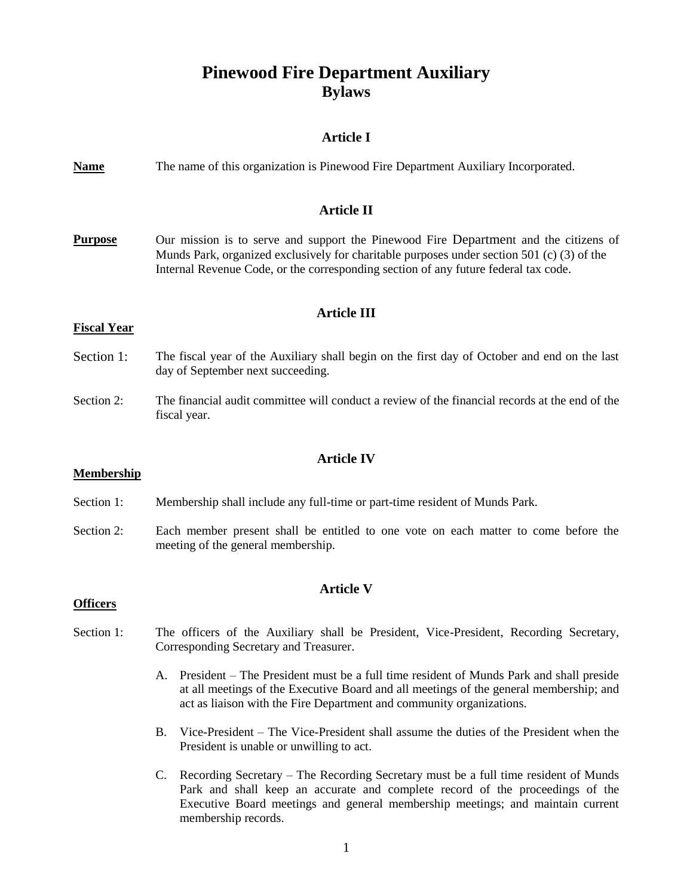# **Pinewood Fire Department Auxiliary Bylaws**

## **Article I**

| <b>Name</b>                              | The name of this organization is Pinewood Fire Department Auxiliary Incorporated.                                                                                                                                                                                         |
|------------------------------------------|---------------------------------------------------------------------------------------------------------------------------------------------------------------------------------------------------------------------------------------------------------------------------|
| <b>Article II</b>                        |                                                                                                                                                                                                                                                                           |
| <b>Purpose</b>                           | Our mission is to serve and support the Pinewood Fire Department and the citizens of<br>Munds Park, organized exclusively for charitable purposes under section 501 (c) (3) of the<br>Internal Revenue Code, or the corresponding section of any future federal tax code. |
| <b>Article III</b><br><b>Fiscal Year</b> |                                                                                                                                                                                                                                                                           |
|                                          |                                                                                                                                                                                                                                                                           |
| Section 1:                               | The fiscal year of the Auxiliary shall begin on the first day of October and end on the last<br>day of September next succeeding.                                                                                                                                         |
| Section 2:                               | The financial audit committee will conduct a review of the financial records at the end of the<br>fiscal year.                                                                                                                                                            |
|                                          |                                                                                                                                                                                                                                                                           |
| <b>Membership</b>                        | <b>Article IV</b>                                                                                                                                                                                                                                                         |
|                                          |                                                                                                                                                                                                                                                                           |
| Section 1:                               | Membership shall include any full-time or part-time resident of Munds Park.                                                                                                                                                                                               |
| Section 2:                               | Each member present shall be entitled to one vote on each matter to come before the<br>meeting of the general membership.                                                                                                                                                 |
|                                          |                                                                                                                                                                                                                                                                           |
| <b>Officers</b>                          | <b>Article V</b>                                                                                                                                                                                                                                                          |
|                                          |                                                                                                                                                                                                                                                                           |
| Section 1:                               | The officers of the Auxiliary shall be President, Vice-President, Recording Secretary,<br>Corresponding Secretary and Treasurer.                                                                                                                                          |
|                                          | President – The President must be a full time resident of Munds Park and shall preside<br>A.<br>at all meetings of the Executive Board and all meetings of the general membership; and<br>act as liaison with the Fire Department and community organizations.            |
|                                          | Vice-President – The Vice-President shall assume the duties of the President when the<br><b>B.</b><br>President is unable or unwilling to act.                                                                                                                            |
|                                          | C. Recording Secretary – The Recording Secretary must be a full time resident of Munds                                                                                                                                                                                    |

C. Recording Secretary – The Recording Secretary must be a full time resident of Munds Park and shall keep an accurate and complete record of the proceedings of the Executive Board meetings and general membership meetings; and maintain current membership records.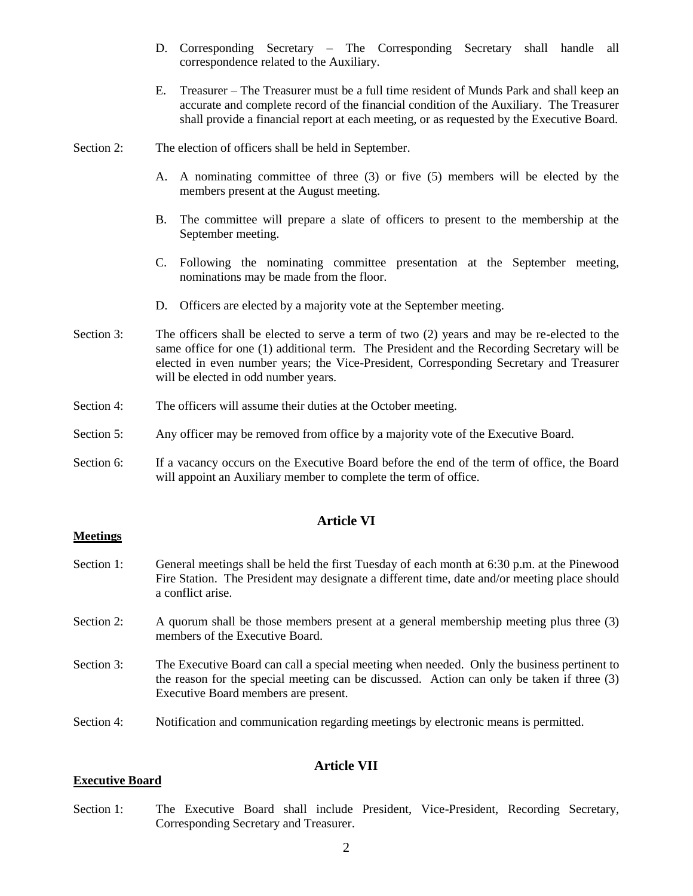- D. Corresponding Secretary The Corresponding Secretary shall handle all correspondence related to the Auxiliary.
- E. Treasurer The Treasurer must be a full time resident of Munds Park and shall keep an accurate and complete record of the financial condition of the Auxiliary. The Treasurer shall provide a financial report at each meeting, or as requested by the Executive Board.
- Section 2: The election of officers shall be held in September.
	- A. A nominating committee of three (3) or five (5) members will be elected by the members present at the August meeting.
	- B. The committee will prepare a slate of officers to present to the membership at the September meeting.
	- C. Following the nominating committee presentation at the September meeting, nominations may be made from the floor.
	- D. Officers are elected by a majority vote at the September meeting.
- Section 3: The officers shall be elected to serve a term of two (2) years and may be re-elected to the same office for one (1) additional term. The President and the Recording Secretary will be elected in even number years; the Vice-President, Corresponding Secretary and Treasurer will be elected in odd number years.
- Section 4: The officers will assume their duties at the October meeting.
- Section 5: Any officer may be removed from office by a majority vote of the Executive Board.
- Section 6: If a vacancy occurs on the Executive Board before the end of the term of office, the Board will appoint an Auxiliary member to complete the term of office.

### **Article VI**

#### **Meetings**

- Section 1: General meetings shall be held the first Tuesday of each month at 6:30 p.m. at the Pinewood Fire Station. The President may designate a different time, date and/or meeting place should a conflict arise.
- Section 2: A quorum shall be those members present at a general membership meeting plus three (3) members of the Executive Board.
- Section 3: The Executive Board can call a special meeting when needed. Only the business pertinent to the reason for the special meeting can be discussed. Action can only be taken if three (3) Executive Board members are present.
- Section 4: Notification and communication regarding meetings by electronic means is permitted.

## **Article VII**

#### **Executive Board**

Section 1: The Executive Board shall include President, Vice-President, Recording Secretary, Corresponding Secretary and Treasurer.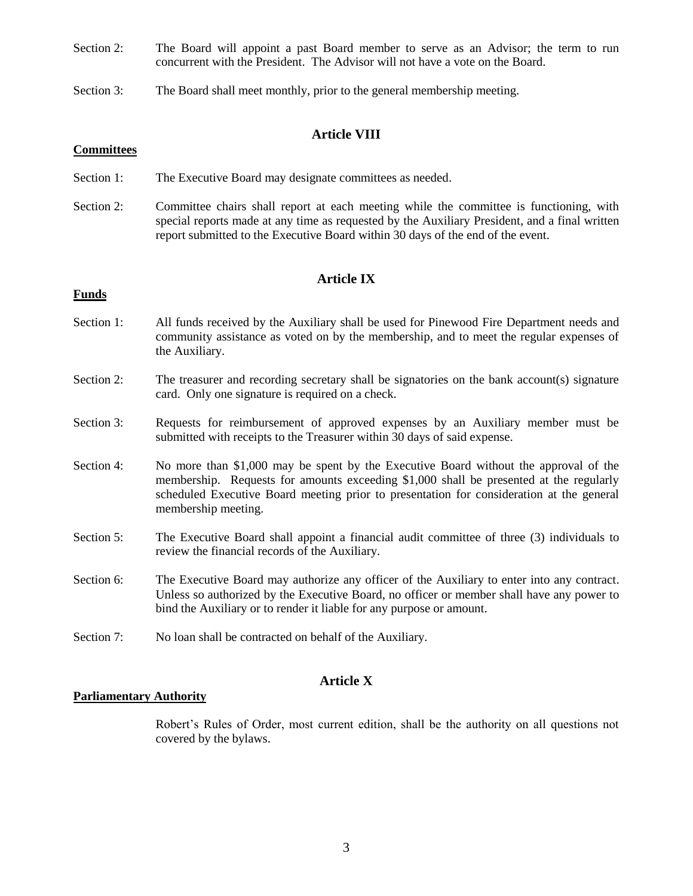- Section 2: The Board will appoint a past Board member to serve as an Advisor; the term to run concurrent with the President. The Advisor will not have a vote on the Board.
- Section 3: The Board shall meet monthly, prior to the general membership meeting.

## **Article VIII**

#### **Committees**

- Section 1: The Executive Board may designate committees as needed.
- Section 2: Committee chairs shall report at each meeting while the committee is functioning, with special reports made at any time as requested by the Auxiliary President, and a final written report submitted to the Executive Board within 30 days of the end of the event.

## **Article IX**

### **Funds**

- Section 1: All funds received by the Auxiliary shall be used for Pinewood Fire Department needs and community assistance as voted on by the membership, and to meet the regular expenses of the Auxiliary.
- Section 2: The treasurer and recording secretary shall be signatories on the bank account(s) signature card. Only one signature is required on a check.
- Section 3: Requests for reimbursement of approved expenses by an Auxiliary member must be submitted with receipts to the Treasurer within 30 days of said expense.
- Section 4: No more than \$1,000 may be spent by the Executive Board without the approval of the membership. Requests for amounts exceeding \$1,000 shall be presented at the regularly scheduled Executive Board meeting prior to presentation for consideration at the general membership meeting.
- Section 5: The Executive Board shall appoint a financial audit committee of three (3) individuals to review the financial records of the Auxiliary.
- Section 6: The Executive Board may authorize any officer of the Auxiliary to enter into any contract. Unless so authorized by the Executive Board, no officer or member shall have any power to bind the Auxiliary or to render it liable for any purpose or amount.
- Section 7: No loan shall be contracted on behalf of the Auxiliary.

## **Article X**

#### **Parliamentary Authority**

Robert's Rules of Order, most current edition, shall be the authority on all questions not covered by the bylaws.